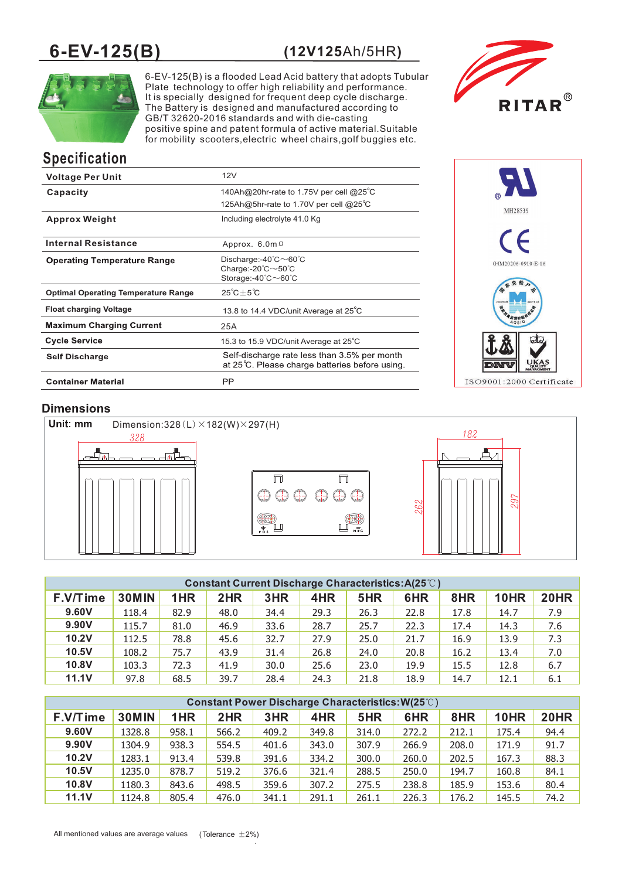# **6-EV-125(B) (12V125**Ah/5HR**)**



6-EV-125(B) is a flooded Lead Acid battery that adopts Tubular Plate technology to offer high reliability and performance. It is specially designed for frequent deep cycle discharge. The Battery is designed and manufactured according to GB/T 32620-2016 standards and with die-casting positive spine and patent formula of active material.Suitable for mobility scooters,electric wheel chairs,golf buggies etc.



# **Specification**

| <b>Voltage Per Unit</b>                    | 12V                                                                                                                                                 |
|--------------------------------------------|-----------------------------------------------------------------------------------------------------------------------------------------------------|
| Capacity                                   | 140Ah@20hr-rate to 1.75V per cell @25°C                                                                                                             |
|                                            | 125Ah@5hr-rate to 1.70V per cell @25°C                                                                                                              |
| <b>Approx Weight</b>                       | Including electrolyte 41.0 Kg                                                                                                                       |
| <b>Internal Resistance</b>                 | Approx. $6.0m\Omega$                                                                                                                                |
| <b>Operating Temperature Range</b>         | Discharge:-40 $\degree$ C $\sim$ 60 $\degree$ C<br>Charge:- $20^{\circ}$ C $\sim$ 50 $^{\circ}$ C<br>Storage:- $40^{\circ}$ C $\sim$ $60^{\circ}$ C |
| <b>Optimal Operating Temperature Range</b> | $25^{\circ}C+5^{\circ}C$                                                                                                                            |
| <b>Float charging Voltage</b>              | 13.8 to 14.4 VDC/unit Average at 25°C                                                                                                               |
| <b>Maximum Charging Current</b>            | 25A                                                                                                                                                 |
| <b>Cycle Service</b>                       | 15.3 to 15.9 VDC/unit Average at 25°C                                                                                                               |
| <b>Self Discharge</b>                      | Self-discharge rate less than 3.5% per month<br>at 25°C. Please charge batteries before using.                                                      |
| <b>Container Material</b>                  | PP                                                                                                                                                  |



# **Dimensions**



| <b>Constant Current Discharge Characteristics: A(25°C)</b> |              |      |      |      |      |      |      |      |             |             |
|------------------------------------------------------------|--------------|------|------|------|------|------|------|------|-------------|-------------|
| F.V/Time                                                   | <b>30MIN</b> | 1HR  | 2HR  | 3HR  | 4HR  | 5HR  | 6HR  | 8HR  | <b>10HR</b> | <b>20HR</b> |
| 9.60V                                                      | 118.4        | 82.9 | 48.0 | 34.4 | 29.3 | 26.3 | 22.8 | 17.8 | 14.7        | 7.9         |
| 9.90V                                                      | 115.7        | 81.0 | 46.9 | 33.6 | 28.7 | 25.7 | 22.3 | 17.4 | 14.3        | 7.6         |
| 10.2V                                                      | 112.5        | 78.8 | 45.6 | 32.7 | 27.9 | 25.0 | 21.7 | 16.9 | 13.9        | 7.3         |
| 10.5V                                                      | 108.2        | 75.7 | 43.9 | 31.4 | 26.8 | 24.0 | 20.8 | 16.2 | 13.4        | 7.0         |
| 10.8V                                                      | 103.3        | 72.3 | 41.9 | 30.0 | 25.6 | 23.0 | 19.9 | 15.5 | 12.8        | 6.7         |
| <b>11.1V</b>                                               | 97.8         | 68.5 | 39.7 | 28.4 | 24.3 | 21.8 | 18.9 | 14.7 | 12.1        | 6.1         |

| Constant Power Discharge Characteristics: W(25°C) |              |       |       |       |       |       |       |       |             |      |
|---------------------------------------------------|--------------|-------|-------|-------|-------|-------|-------|-------|-------------|------|
| F.V/Time                                          | <b>30MIN</b> | 1HR   | 2HR   | 3HR   | 4HR   | 5HR   | 6HR   | 8HR   | <b>10HR</b> | 20HR |
| 9.60V                                             | 1328.8       | 958.1 | 566.2 | 409.2 | 349.8 | 314.0 | 272.2 | 212.1 | 175.4       | 94.4 |
| 9.90V                                             | 1304.9       | 938.3 | 554.5 | 401.6 | 343.0 | 307.9 | 266.9 | 208.0 | 171.9       | 91.7 |
| <b>10.2V</b>                                      | 1283.1       | 913.4 | 539.8 | 391.6 | 334.2 | 300.0 | 260.0 | 202.5 | 167.3       | 88.3 |
| 10.5V                                             | 1235.0       | 878.7 | 519.2 | 376.6 | 321.4 | 288.5 | 250.0 | 194.7 | 160.8       | 84.1 |
| 10.8V                                             | 1180.3       | 843.6 | 498.5 | 359.6 | 307.2 | 275.5 | 238.8 | 185.9 | 153.6       | 80.4 |
| 11.1V                                             | 1124.8       | 805.4 | 476.0 | 341.1 | 291.1 | 261.1 | 226.3 | 176.2 | 145.5       | 74.2 |